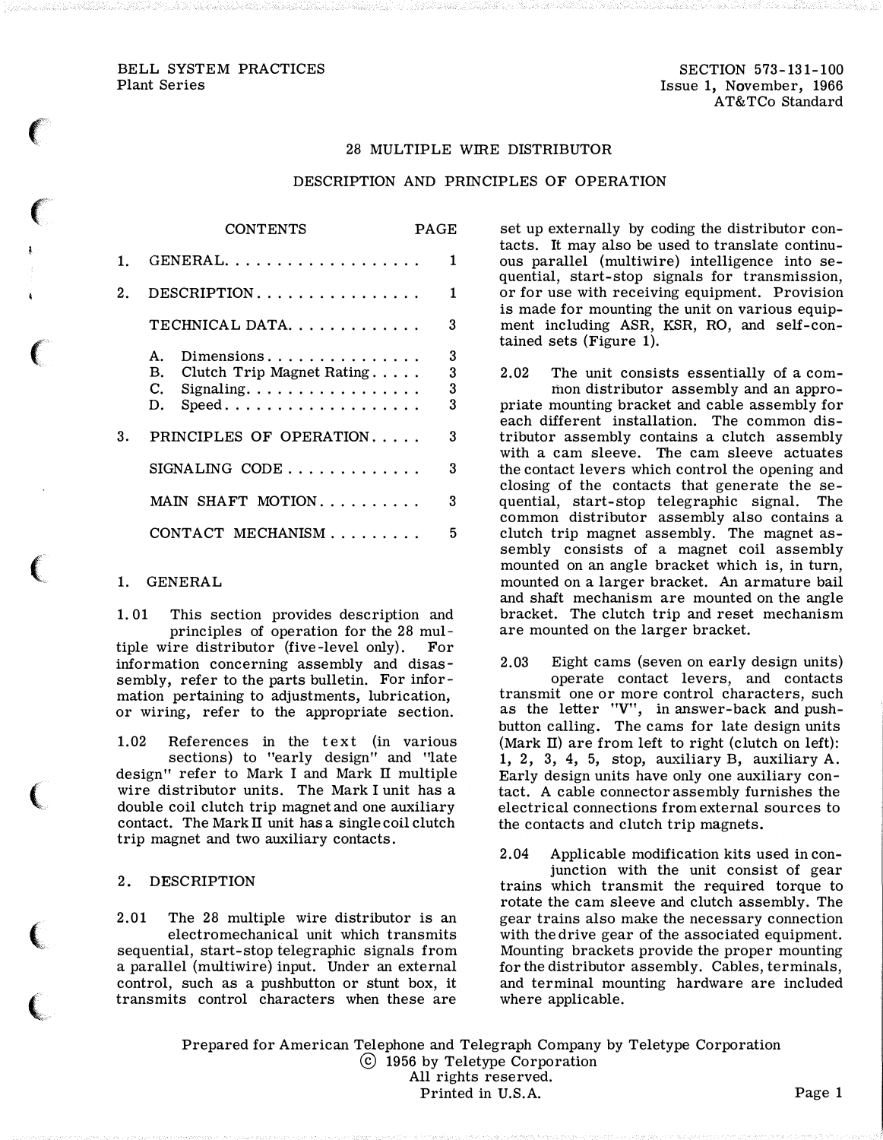### BELL SYSTEM PRACTICES Plant Series

 $\epsilon$ 

 $\big($ 

 $\big($ 

(

 $\big($ 

 $\big($ 

### 28 MULTIPLE WIRE DISTRIBUTOR

#### DESCRIPTION AND PRINCIPLES OF OPERATION

. . . .

|    | CONTENTS                                                                                                                       | PAGE:            |
|----|--------------------------------------------------------------------------------------------------------------------------------|------------------|
|    | GENERAL.                                                                                                                       | 1                |
| 2. | $DESCRIPTION \ldots \ldots \ldots \ldots \ldots$                                                                               | $\mathbf{1}$     |
|    | TECHNICAL DATA.                                                                                                                | 3                |
|    | Dimensions<br>Α.<br>Clutch Trip Magnet Rating<br>В.<br>C.<br>Signaling. $\ldots \ldots \ldots \ldots \ldots$<br>D.<br>$Speed.$ | 3<br>3<br>3<br>3 |
| 3. | PRINCIPLES OF OPERATION                                                                                                        | 3                |
|    | $SIGNALING$ $CODE$                                                                                                             | 3                |
|    | MAIN SHAFT MOTION                                                                                                              | 3                |
|    | CONTACT MECHANISM                                                                                                              | 5                |

 $- - - - - - - -$ 

### 1. GENERAL

1. 01 This section provides description and principles of operation for the 28 multiple wire distributor (five-level only). For information concerning assembly and disassembly, refer to the parts bulletin. For information pertaining to adjustments, lubrication, or wiring, refer to the appropriate section.

1.02 References in the text (in various sections) to "early design" and "late design" refer to Mark I and Mark II multiple wire distributor units. The Mark I unit has a double coil clutch trip magnet and one auxiliary contact. The Mark II unit has a single coil clutch trip magnet and two auxiliary contacts.

## 2. DESCRIPTION

2.01 The 28 multiple wire distributor is an electromechanical unit which transmits sequential, start-stop telegraphic signals from a parallel (multiwire) input. Under an external control, such as a pushbutton or stunt box, it transmits control characters when these are

set up externally by coding the distributor contacts. It may also be used to translate continuous parallel (multiwire) intelligence into sequential, start-stop signals for transmission, or for use with receiving equipment. Provision is made for mounting the unit on various equipment including ASR, KSR, RO, and self-contained sets (Figure 1).

2.02 The unit consists essentially of a common distributor assembly and an appropriate mounting bracket and cable assembly for each different installation. The common distributor assembly contains a clutch assembly with a cam sleeve. The cam sleeve actuates the contact levers which control the opening and closing of the contacts that generate the sequential, start-stop telegraphic signal. The common distributor assembly also contains a clutch trip magnet assembly. The magnet assembly consists of a magnet coil assembly mounted on an angle bracket which is, in turn, mounted on a larger bracket. An armature bail and shaft mechanism are mounted on the angle bracket. The clutch trip and reset mechanism are mounted on the larger bracket.

2.03 Eight cams (seven on early design units) operate contact levers, and contacts transmit one or more control characters, such as the letter "V", in answer-back and pushbutton calling. The cams for late design units (Mark II) are from left to right (clutch on left): 1, 2, 3, 4, 5, stop, auxiliary B, auxiliary A. Early design units have only one auxiliary contact. A cable connector assembly furnishes the electrical connections from external sources to the contacts and clutch trip magnets.

2.04 Applicable modification kits used in conjunction with the unit consist of gear trains which transmit the required torque to rotate the cam sleeve and clutch assembly. The gear trains also make the necessary connection with the drive gear of the associated equipment. Mounting brackets provide the proper mounting for the distributor assembly. Cables, terminals, and terminal mounting hardware are included where applicable.

Prepared for American Telephone and Telegraph Company by Teletype Corporation @ 1956 by Teletype Corporation All rights reserved. Printed in U.S.A. Page 1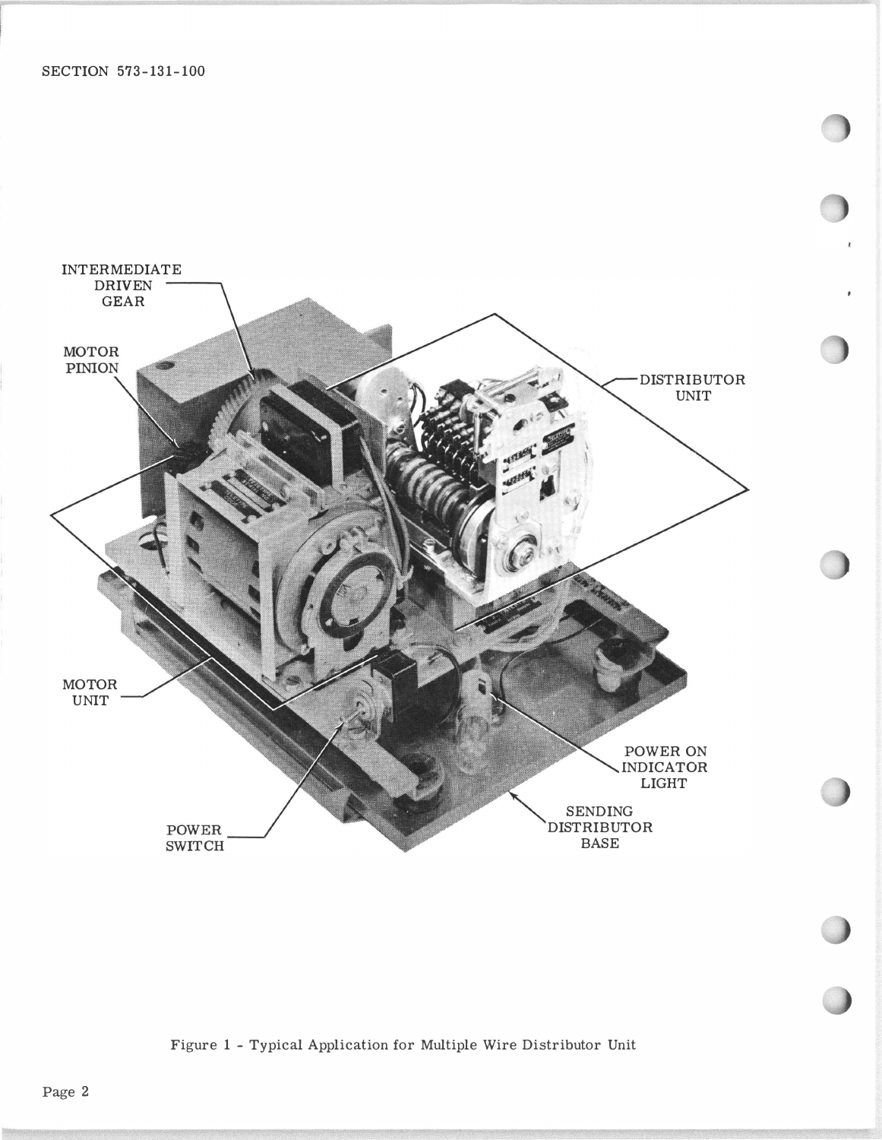

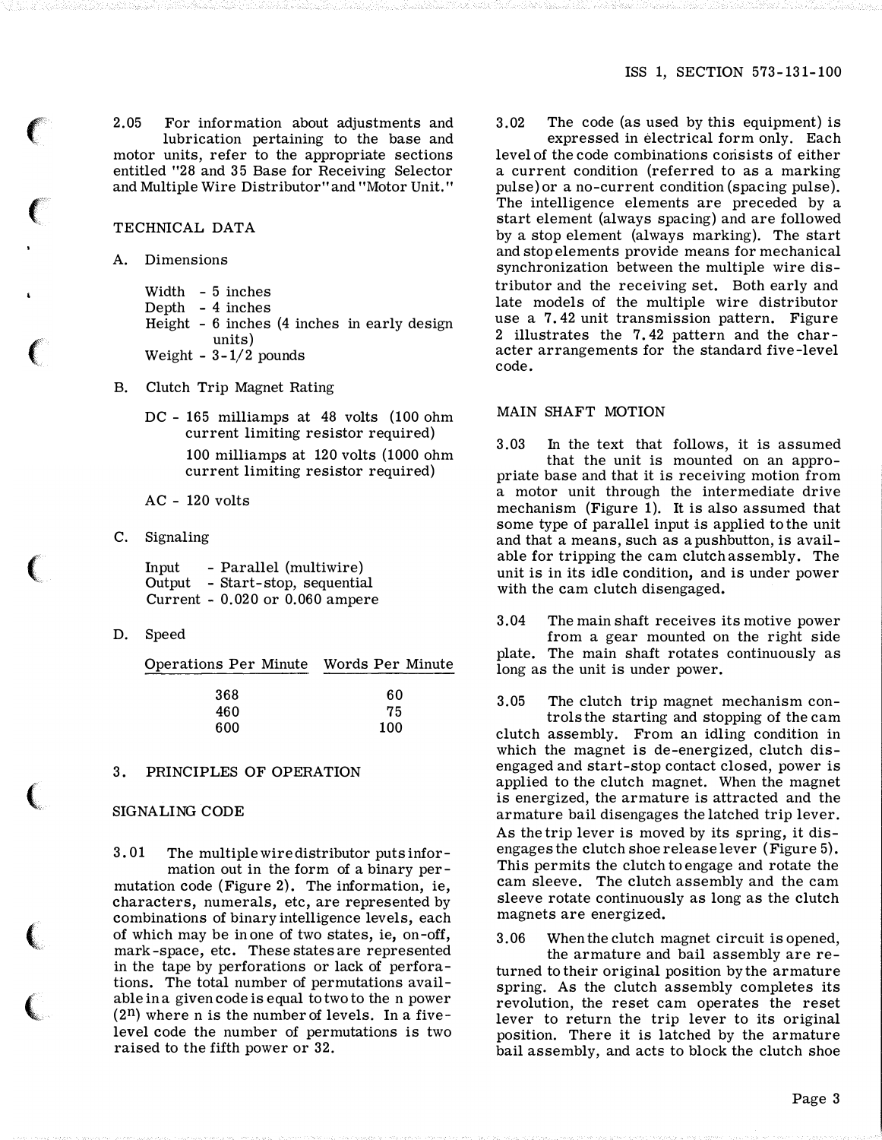2.05 For information about adjustments and lubrication pertaining to the base and motor units, refer to the appropriate sections entitled "28 and 35 Base for Receiving Selector and Multiple Wire Distributor" and "Motor Unit."

### TECHNICAL DATA

A. Dimensions

 $\left($ 

 $\left($ 

 $\big($ 

(

 $\big($ 

 $\big($ 

Width - 5 inches Depth - 4 inches Height - 6 inches (4 inches in early design units) Weight  $-3-1/2$  pounds

- B. Clutch Trip Magnet Rating
	- DC 165 milliamps at 48 volts (100 ohm current limiting resistor required) 100 milliamps at 120 volts (1000 ohm current limiting resistor required)

AC - 120 volts

C. Signaling

Input - Parallel (multiwire) Output - Start-stop, sequential Current - 0.020 or 0.060 ampere

D. Speed

Operations Per Minute Words Per Minute 368  $60$ 

| .   | ັບ  |
|-----|-----|
| 460 | 75  |
| 600 | 100 |
|     |     |

# 3. PRINCIPLES OF OPERATION

### SIGNALING CODE

3. 01 The multiple wire distributor puts information out in the form of a binary permutation code (Figure 2). The information, ie, characters, numerals, etc, are represented by combinations of binary intelligence levels, each of which may be in one of two states, ie, on-off, mark -space, etc. These states are represented in the tape by perforations or lack of perforations. The total number of permutations available in a given code is equal to two to the n power  $(2^n)$  where n is the number of levels. In a fivelevel code the number of permutations is two raised to the fifth power or 32.

3.02 The code (as used by this equipment) is expressed in electrical form only. Each level of the code combinations consists of either a current condition (referred to as a marking pulse) or a no-current condition (spacing pulse). The intelligence elements are preceded by a start element (always spacing) and are followed by a stop element (always marking). The start and stop elements provide means for mechanical synchronization between the multiple wire distributor and the receiving set. Both early and late models of the multiple wire distributor use a 7. 42 unit transmission pattern. Figure 2 illustrates the 7. 42 pattern and the character arrangements for the standard five-level

# MAIN SHAFT MOTION

code.

3. 03 In the text that follows, it is assumed that the unit is mounted on an appropriate base and that it is receiving motion from a motor unit through the intermediate drive mechanism (Figure 1). It is also assumed that some type of parallel input is applied to the unit and that a means, such as a pushbutton, is available for tripping the cam clutch assembly. The unit is in its idle condition, and is under power with the cam clutch disengaged.

3.04 The main shaft receives its motive power from a gear mounted on the right side plate. The main shaft rotates continuously as long as the unit is under power.

3.05 The clutch trip magnet mechanism controls the starting and stopping of the cam clutch assembly. From an idling condition in which the magnet is de-energized, clutch disengaged and start-stop contact closed, power is applied to the clutch magnet. When the magnet is energized, the armature is attracted and the armature bail disengages the latched trip lever. As the trip lever is moved by its spring, it disengages the clutch shoe release lever (Figure 5). This permits the clutch to engage and rotate the cam sleeve. The clutch assembly and the cam sleeve rotate continuously as long as the clutch magnets are energized.

3.06 When the clutch magnet circuit is opened,

the armature and bail assembly are returned to their original position by the armature spring. As the clutch assembly completes its revolution, the reset cam operates the reset lever to return the trip lever to its original position. There it is latched by the armature bail assembly, and acts to block the clutch shoe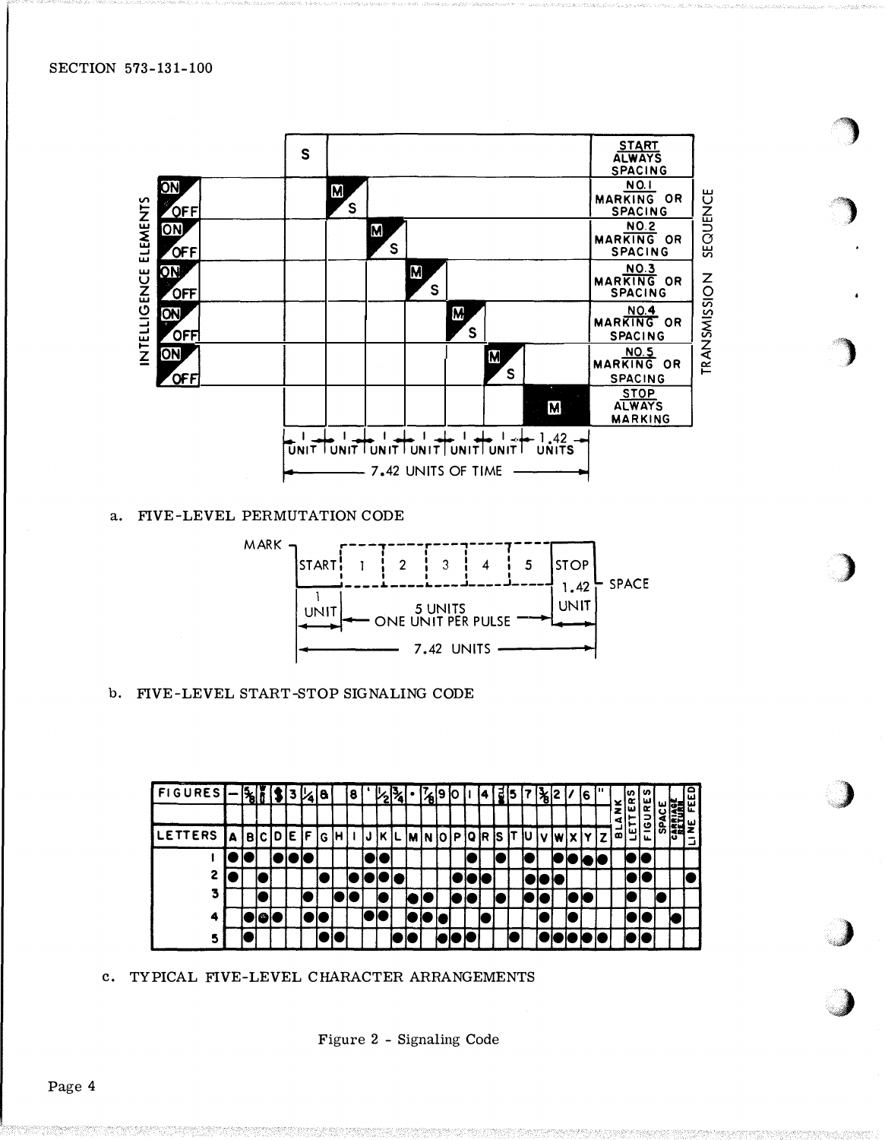

# a. FIVE-LEVEL PERMUTATION CODE



b. FIVE-LEVEL START-STOP SIGNALING CODE



c. TYPICAL FIVE-LEVEL CHARACTER ARRANGEMENTS

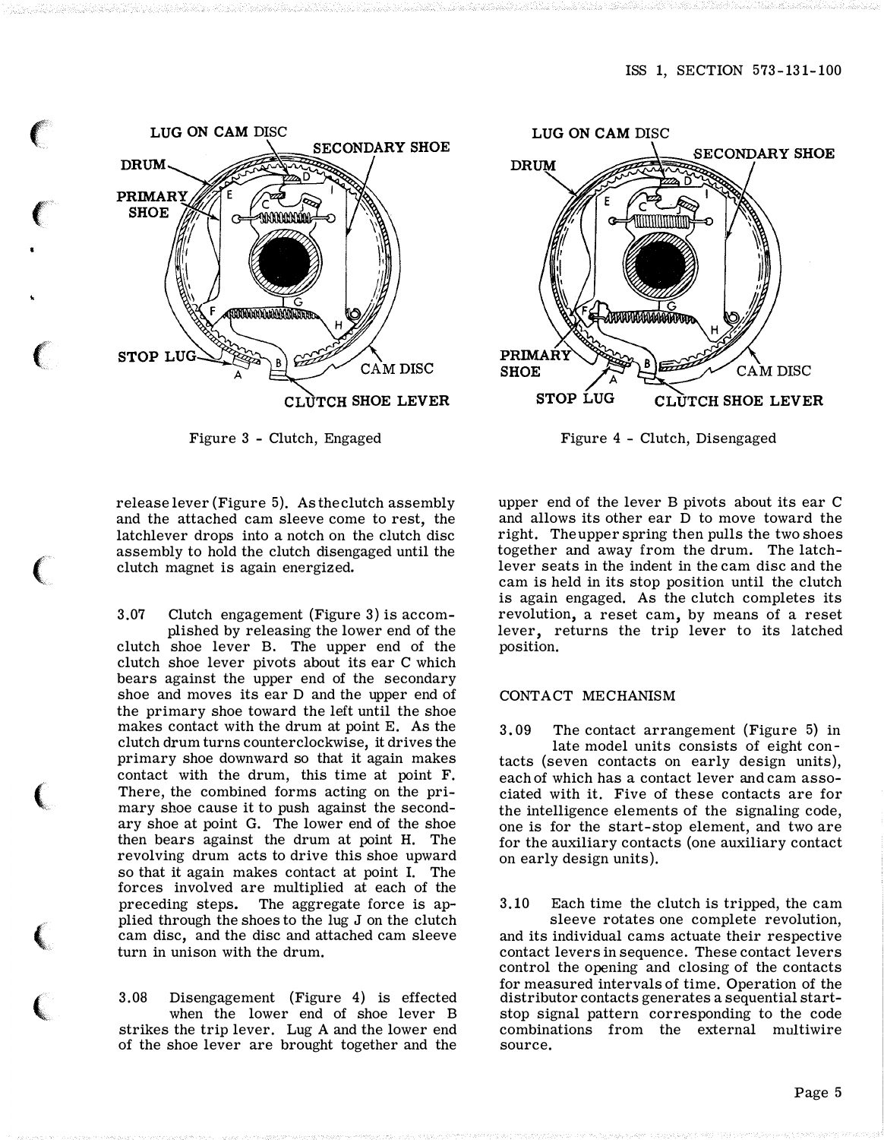

 $\epsilon$ 

 $\left($ 

 $\epsilon$ 

 $\big($ 

(

 $\left($ 

 $\big($ 

Figure 3 - Clutch, Engaged

release lever (Figure 5). As the clutch assembly and the attached cam sleeve come to rest, the latchlever drops into a notch on the clutch disc assembly to hold the clutch disengaged until the clutch magnet is again energized.

3.07 Clutch engagement (Figure 3) is accomplished by releasing the lower end of the clutch shoe lever B. The upper end of the clutch shoe lever pivots about its ear C which bears against the upper end of the secondary shoe and moves its ear D and the upper end of the primary shoe toward the left until the shoe makes contact with the drum at point E. As the clutch drum turns counterclockwise, it drives the primary shoe downward so that it again makes contact with the drum, this time at point F. There, the combined forms acting on the primary shoe cause it to push against the secondary shoe at point G. The lower end of the shoe then bears against the drum at point H. The revolving drum acts to drive this shoe upward so that it again makes contact at point I. The forces involved are multiplied at each of the preceding steps. The aggregate force is applied through the shoes to the lug J on the clutch cam disc, and the disc and attached cam sleeve turn in unison with the drum.

3.08 Disengagement (Figure 4) is effected when the lower end of shoe lever B strikes the trip lever. Lug A and the lower end of the shoe lever are brought together and the



Figure 4 - Clutch, Disengaged

upper end of the lever B pivots about its ear C and allows its other ear D to move toward the right. The upper spring then pulls the two shoes together and away from the drum. The latchlever seats in the indent in the cam disc and the cam is held in its stop position until the clutch is again engaged. As the clutch completes its revolution, a reset cam, by means of a reset lever, returns the trip lever to its latched position.

# CONTACT MECHANISM

3. 09 The contact arrangement (Figure 5) in late model units consists of eight contacts (seven contacts on early design units), each of which has a contact lever and cam associated with it. Five of these contacts are for the intelligence elements of the signaling code, one is for the start-stop element, and two are for the auxiliary contacts (one auxiliary contact on early design units).

3.10 Each time the clutch is tripped, the cam sleeve rotates one complete revolution, and its individual cams actuate their respective contact levers in sequence. These contact levers control the opening and closing of the contacts for measured intervals of time. Operation of the distributor contacts generates a sequential startstop signal pattern corresponding to the code combinations from the external multiwire source.